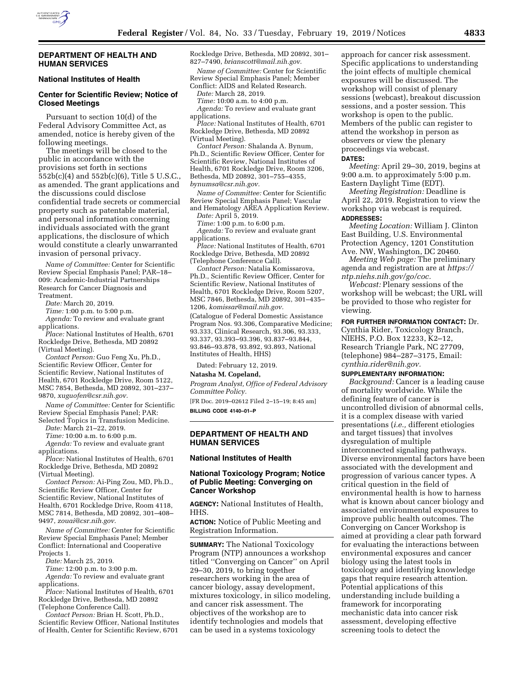

### **DEPARTMENT OF HEALTH AND HUMAN SERVICES**

## **National Institutes of Health**

# **Center for Scientific Review; Notice of Closed Meetings**

Pursuant to section 10(d) of the Federal Advisory Committee Act, as amended, notice is hereby given of the following meetings.

The meetings will be closed to the public in accordance with the provisions set forth in sections 552b(c)(4) and 552b(c)(6), Title 5 U.S.C., as amended. The grant applications and the discussions could disclose confidential trade secrets or commercial property such as patentable material, and personal information concerning individuals associated with the grant applications, the disclosure of which would constitute a clearly unwarranted invasion of personal privacy.

*Name of Committee:* Center for Scientific Review Special Emphasis Panel; PAR–18– 009: Academic-Industrial Partnerships Research for Cancer Diagnosis and Treatment.

*Date:* March 20, 2019.

*Time:* 1:00 p.m. to 5:00 p.m.

*Agenda:* To review and evaluate grant

applications.

*Place:* National Institutes of Health, 6701 Rockledge Drive, Bethesda, MD 20892 (Virtual Meeting).

*Contact Person:* Guo Feng Xu, Ph.D., Scientific Review Officer, Center for Scientific Review, National Institutes of Health, 6701 Rockledge Drive, Room 5122, MSC 7854, Bethesda, MD 20892, 301–237– 9870, *[xuguofen@csr.nih.gov.](mailto:xuguofen@csr.nih.gov)* 

*Name of Committee:* Center for Scientific Review Special Emphasis Panel; PAR: Selected Topics in Transfusion Medicine.

*Date:* March 21–22, 2019.

*Time:* 10:00 a.m. to 6:00 p.m.

*Agenda:* To review and evaluate grant applications.

*Place:* National Institutes of Health, 6701 Rockledge Drive, Bethesda, MD 20892 (Virtual Meeting).

*Contact Person:* Ai-Ping Zou, MD, Ph.D., Scientific Review Officer, Center for Scientific Review, National Institutes of Health, 6701 Rockledge Drive, Room 4118, MSC 7814, Bethesda, MD 20892, 301–408– 9497, *[zouai@csr.nih.gov.](mailto:zouai@csr.nih.gov)* 

*Name of Committee:* Center for Scientific Review Special Emphasis Panel; Member Conflict: International and Cooperative Projects 1.

*Date:* March 25, 2019.

*Time:* 12:00 p.m. to 3:00 p.m. *Agenda:* To review and evaluate grant

applications. *Place:* National Institutes of Health, 6701 Rockledge Drive, Bethesda, MD 20892

(Telephone Conference Call). *Contact Person:* Brian H. Scott, Ph.D., Scientific Review Officer, National Institutes

of Health, Center for Scientific Review, 6701

Rockledge Drive, Bethesda, MD 20892, 301– 827–7490, *[brianscott@mail.nih.gov.](mailto:brianscott@mail.nih.gov)* 

*Name of Committee:* Center for Scientific Review Special Emphasis Panel; Member Conflict: AIDS and Related Research.

*Date:* March 28, 2019.

*Time:* 10:00 a.m. to 4:00 p.m. *Agenda:* To review and evaluate grant applications.

*Place:* National Institutes of Health, 6701 Rockledge Drive, Bethesda, MD 20892 (Virtual Meeting).

*Contact Person:* Shalanda A. Bynum, Ph.D., Scientific Review Officer, Center for Scientific Review, National Institutes of Health, 6701 Rockledge Drive, Room 3206, Bethesda, MD 20892, 301–755–4355, *[bynumsa@csr.nih.gov.](mailto:bynumsa@csr.nih.gov)* 

*Name of Committee:* Center for Scientific Review Special Emphasis Panel; Vascular and Hematology AREA Application Review.

*Date:* April 5, 2019.

*Time:* 1:00 p.m. to 6:00 p.m.

*Agenda:* To review and evaluate grant applications.

*Place:* National Institutes of Health, 6701 Rockledge Drive, Bethesda, MD 20892 (Telephone Conference Call).

*Contact Person:* Natalia Komissarova, Ph.D., Scientific Review Officer, Center for Scientific Review, National Institutes of Health, 6701 Rockledge Drive, Room 5207, MSC 7846, Bethesda, MD 20892, 301–435– 1206, *[komissar@mail.nih.gov.](mailto:komissar@mail.nih.gov)* 

(Catalogue of Federal Domestic Assistance Program Nos. 93.306, Comparative Medicine; 93.333, Clinical Research, 93.306, 93.333, 93.337, 93.393–93.396, 93.837–93.844, 93.846–93.878, 93.892, 93.893, National Institutes of Health, HHS)

Dated: February 12, 2019.

#### **Natasha M. Copeland,**

*Program Analyst, Office of Federal Advisory Committee Policy.* 

[FR Doc. 2019–02612 Filed 2–15–19; 8:45 am] **BILLING CODE 4140–01–P** 

**DEPARTMENT OF HEALTH AND HUMAN SERVICES** 

#### **National Institutes of Health**

## **National Toxicology Program; Notice of Public Meeting: Converging on Cancer Workshop**

**AGENCY:** National Institutes of Health, HHS.

**ACTION:** Notice of Public Meeting and Registration Information.

**SUMMARY:** The National Toxicology Program (NTP) announces a workshop titled ''Converging on Cancer'' on April 29–30, 2019, to bring together researchers working in the area of cancer biology, assay development, mixtures toxicology, in silico modeling, and cancer risk assessment. The objectives of the workshop are to identify technologies and models that can be used in a systems toxicology

approach for cancer risk assessment. Specific applications to understanding the joint effects of multiple chemical exposures will be discussed. The workshop will consist of plenary sessions (webcast), breakout discussion sessions, and a poster session. This workshop is open to the public. Members of the public can register to attend the workshop in person as observers or view the plenary proceedings via webcast. **DATES:**

*Meeting:* April 29–30, 2019, begins at 9:00 a.m. to approximately 5:00 p.m. Eastern Daylight Time (EDT).

*Meeting Registration:* Deadline is April 22, 2019. Registration to view the workshop via webcast is required.

# **ADDRESSES:**

*Meeting Location:* William J. Clinton East Building, U.S. Environmental Protection Agency, 1201 Constitution Ave. NW, Washington, DC 20460.

*Meeting Web page:* The preliminary agenda and registration are at *[https://](https://ntp.niehs.nih.gov/go/coc) [ntp.niehs.nih.gov/go/coc.](https://ntp.niehs.nih.gov/go/coc)* 

*Webcast:* Plenary sessions of the workshop will be webcast; the URL will be provided to those who register for viewing.

### **FOR FURTHER INFORMATION CONTACT:** Dr.

Cynthia Rider, Toxicology Branch, NIEHS, P.O. Box 12233, K2–12, Research Triangle Park, NC 27709, (telephone) 984–287–3175, Email: *[cynthia.rider@nih.gov.](mailto:cynthia.rider@nih.gov)* 

#### **SUPPLEMENTARY INFORMATION:**

*Background:* Cancer is a leading cause of mortality worldwide. While the defining feature of cancer is uncontrolled division of abnormal cells, it is a complex disease with varied presentations (*i.e.,* different etiologies and target tissues) that involves dysregulation of multiple interconnected signaling pathways. Diverse environmental factors have been associated with the development and progression of various cancer types. A critical question in the field of environmental health is how to harness what is known about cancer biology and associated environmental exposures to improve public health outcomes. The Converging on Cancer Workshop is aimed at providing a clear path forward for evaluating the interactions between environmental exposures and cancer biology using the latest tools in toxicology and identifying knowledge gaps that require research attention. Potential applications of this understanding include building a framework for incorporating mechanistic data into cancer risk assessment, developing effective screening tools to detect the